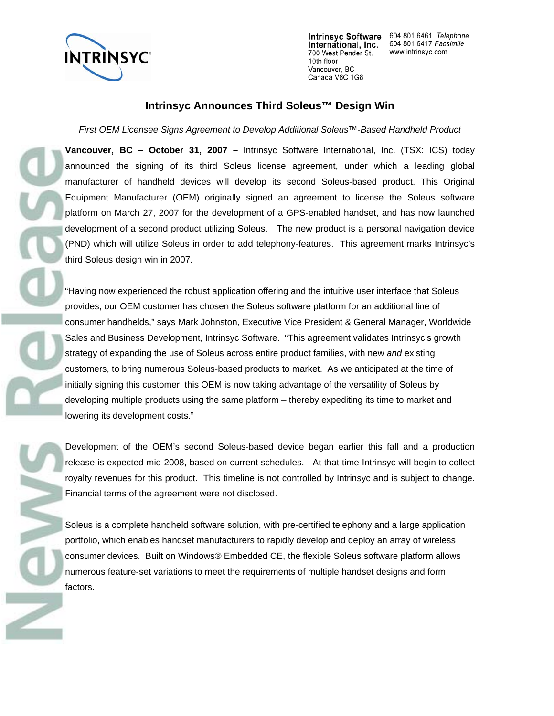

NN C

700 West Pender St. 10th floor Vancouver, BC Canada V6C 1G8

Intrinsyc Software 604 801 6461 Telephone International, Inc. 604 801 6417 Facsimile www.intrinsyc.com

## **Intrinsyc Announces Third Soleus™ Design Win**

*First OEM Licensee Signs Agreement to Develop Additional Soleus™-Based Handheld Product* 

**Vancouver, BC – October 31, 2007 –** Intrinsyc Software International, Inc. (TSX: ICS) today announced the signing of its third Soleus license agreement, under which a leading global manufacturer of handheld devices will develop its second Soleus-based product. This Original Equipment Manufacturer (OEM) originally signed an agreement to license the Soleus software platform on March 27, 2007 for the development of a GPS-enabled handset, and has now launched development of a second product utilizing Soleus. The new product is a personal navigation device (PND) which will utilize Soleus in order to add telephony-features. This agreement marks Intrinsyc's third Soleus design win in 2007.

"Having now experienced the robust application offering and the intuitive user interface that Soleus provides, our OEM customer has chosen the Soleus software platform for an additional line of consumer handhelds," says Mark Johnston, Executive Vice President & General Manager, Worldwide Sales and Business Development, Intrinsyc Software. "This agreement validates Intrinsyc's growth strategy of expanding the use of Soleus across entire product families, with new *and* existing customers, to bring numerous Soleus-based products to market. As we anticipated at the time of initially signing this customer, this OEM is now taking advantage of the versatility of Soleus by developing multiple products using the same platform – thereby expediting its time to market and lowering its development costs."

Development of the OEM's second Soleus-based device began earlier this fall and a production release is expected mid-2008, based on current schedules. At that time Intrinsyc will begin to collect royalty revenues for this product. This timeline is not controlled by Intrinsyc and is subject to change. Financial terms of the agreement were not disclosed.

Soleus is a complete handheld software solution, with pre-certified telephony and a large application portfolio, which enables handset manufacturers to rapidly develop and deploy an array of wireless consumer devices. Built on Windows® Embedded CE, the flexible Soleus software platform allows numerous feature-set variations to meet the requirements of multiple handset designs and form factors.